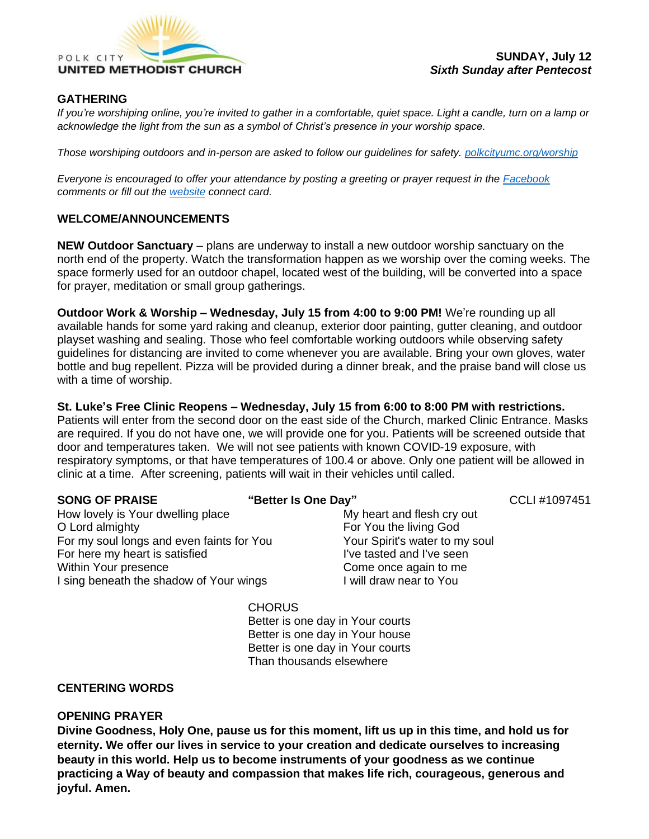

# **GATHERING**

*If you're worshiping online, you're invited to gather in a comfortable, quiet space. Light a candle, turn on a lamp or acknowledge the light from the sun as a symbol of Christ's presence in your worship space.* 

*Those worshiping outdoors and in-person are asked to follow our guidelines for safety. <polkcityumc.org/worship>*

*Everyone is encouraged to offer your attendance by posting a greeting or prayer request in the [Facebook](https://www.facebook.com/polkcityumc/) comments or fill out the [website](https://www.polkcityumc.org/online-worship) connect card.*

### **WELCOME/ANNOUNCEMENTS**

**NEW Outdoor Sanctuary** – plans are underway to install a new outdoor worship sanctuary on the north end of the property. Watch the transformation happen as we worship over the coming weeks. The space formerly used for an outdoor chapel, located west of the building, will be converted into a space for prayer, meditation or small group gatherings.

**Outdoor Work & Worship – Wednesday, July 15 from 4:00 to 9:00 PM!** We're rounding up all available hands for some yard raking and cleanup, exterior door painting, gutter cleaning, and outdoor playset washing and sealing. Those who feel comfortable working outdoors while observing safety guidelines for distancing are invited to come whenever you are available. Bring your own gloves, water bottle and bug repellent. Pizza will be provided during a dinner break, and the praise band will close us with a time of worship.

### **St. Luke's Free Clinic Reopens – Wednesday, July 15 from 6:00 to 8:00 PM with restrictions.**

Patients will enter from the second door on the east side of the Church, marked Clinic Entrance. Masks are required. If you do not have one, we will provide one for you. Patients will be screened outside that door and temperatures taken. We will not see patients with known COVID-19 exposure, with respiratory symptoms, or that have temperatures of 100.4 or above. Only one patient will be allowed in clinic at a time. After screening, patients will wait in their vehicles until called.

### **SONG OF PRAISE "Better Is One Day"** CCLI #1097451

How lovely is Your dwelling place O Lord almighty For my soul longs and even faints for You For here my heart is satisfied Within Your presence I sing beneath the shadow of Your wings

My heart and flesh cry out For You the living God Your Spirit's water to my soul I've tasted and I've seen Come once again to me I will draw near to You

# **CHORUS**

Better is one day in Your courts Better is one day in Your house Better is one day in Your courts Than thousands elsewhere

## **CENTERING WORDS**

### **OPENING PRAYER**

**Divine Goodness, Holy One, pause us for this moment, lift us up in this time, and hold us for eternity. We offer our lives in service to your creation and dedicate ourselves to increasing beauty in this world. Help us to become instruments of your goodness as we continue practicing a Way of beauty and compassion that makes life rich, courageous, generous and joyful. Amen.**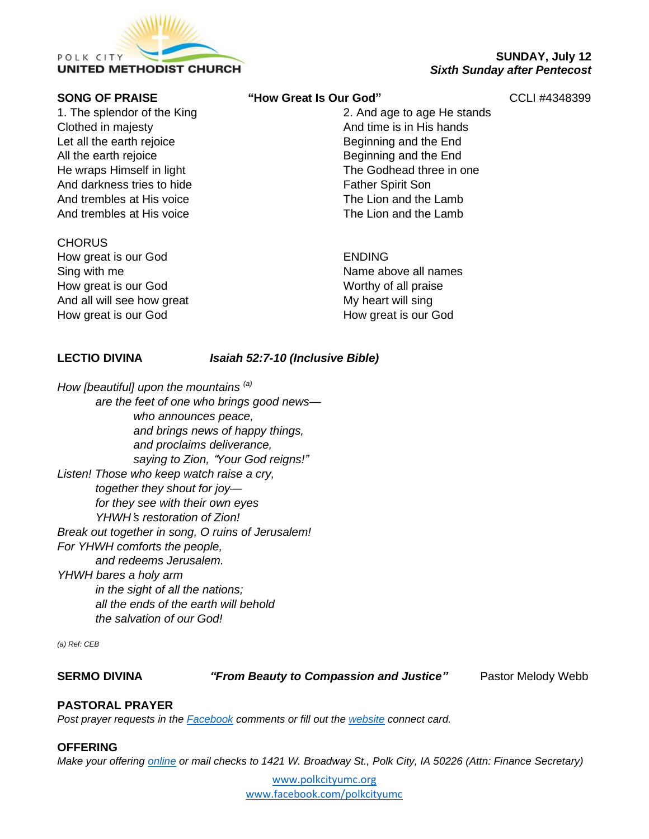

## **SUNDAY, July 12** *Sixth Sunday after Pentecost*

1. The splendor of the King Clothed in majesty Let all the earth rejoice All the earth rejoice He wraps Himself in light And darkness tries to hide And trembles at His voice And trembles at His voice

### **CHORUS**

How great is our God Sing with me How great is our God And all will see how great How great is our God

### **SONG OF PRAISE "How Great Is Our God"** CCLI #4348399

2. And age to age He stands And time is in His hands Beginning and the End Beginning and the End The Godhead three in one Father Spirit Son The Lion and the Lamb The Lion and the Lamb

ENDING Name above all names Worthy of all praise My heart will sing How great is our God

### **LECTIO DIVINA** *Isaiah 52:7-10 (Inclusive Bible)*

*How [beautiful] upon the mountains (a) are the feet of one who brings good news who announces peace, and brings news of happy things, and proclaims deliverance, saying to Zion,* "*Your God reigns!" Listen! Those who keep watch raise a cry, together they shout for joy for they see with their own eyes YHWH*'*s restoration of Zion! Break out together in song, O ruins of Jerusalem! For YHWH comforts the people, and redeems Jerusalem. YHWH bares a holy arm in the sight of all the nations; all the ends of the earth will behold the salvation of our God!*

*(a) Ref: CEB*

### **SERMO DIVINA** *"From Beauty to Compassion and Justice"* Pastor Melody Webb

## **PASTORAL PRAYER**

*Post prayer requests in the [Facebook](https://www.facebook.com/polkcityumc/) comments or fill out the [website](https://www.polkcityumc.org/online-worship) connect card.*

## **OFFERING**

*Make your offering [online](https://www.polkcityumc.org/give.html) or mail checks to 1421 W. Broadway St., Polk City, IA 50226 (Attn: Finance Secretary)*

[www.polkcityumc.org](http://www.polkcityumc.org/) [www.facebook.com/polkcityumc](http://www.facebook.com/polkcityumc)